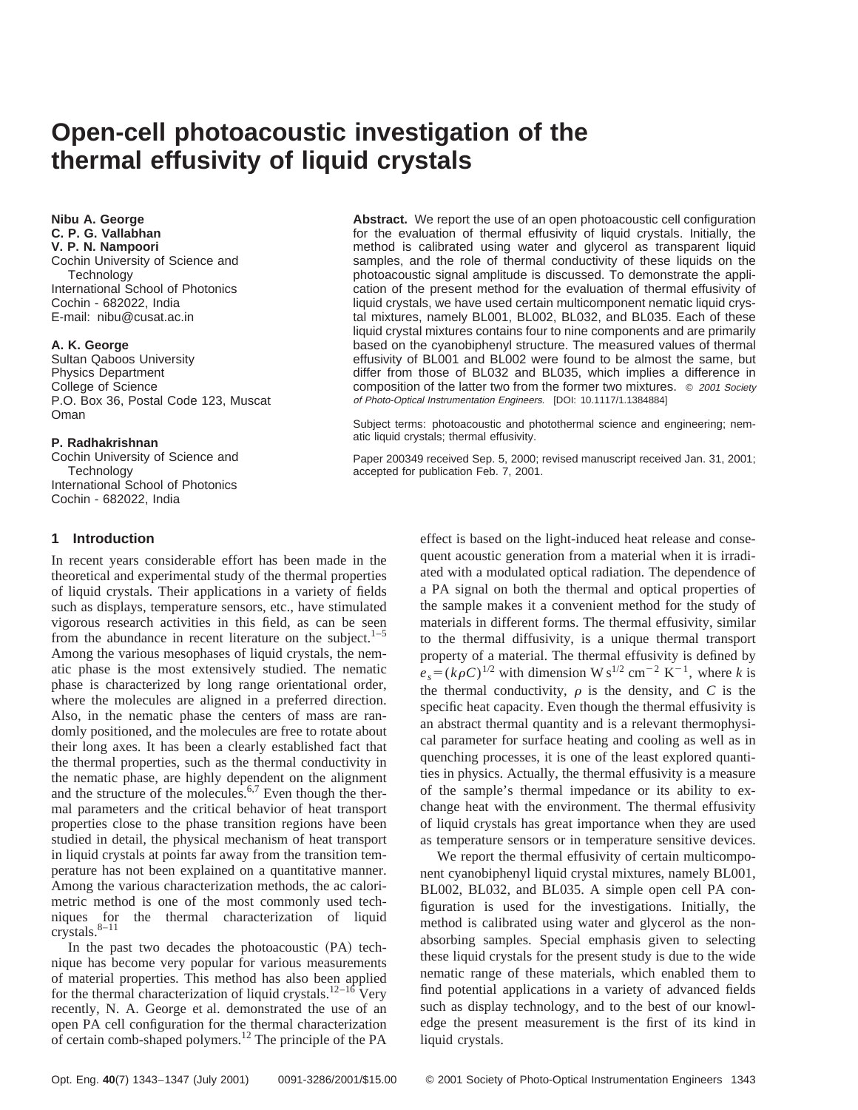# **Open-cell photoacoustic investigation of the thermal effusivity of liquid crystals**

**Nibu A. George C. P. G. Vallabhan V. P. N. Nampoori** Cochin University of Science and **Technology** International School of Photonics Cochin - 682022, India E-mail: nibu@cusat.ac.in

## **A. K. George**

Sultan Qaboos University Physics Department College of Science P.O. Box 36, Postal Code 123, Muscat Oman

#### **P. Radhakrishnan**

Cochin University of Science and **Technology** International School of Photonics Cochin - 682022, India

## **1 Introduction**

In recent years considerable effort has been made in the theoretical and experimental study of the thermal properties of liquid crystals. Their applications in a variety of fields such as displays, temperature sensors, etc., have stimulated vigorous research activities in this field, as can be seen from the abundance in recent literature on the subject.<sup>1–5</sup> Among the various mesophases of liquid crystals, the nematic phase is the most extensively studied. The nematic phase is characterized by long range orientational order, where the molecules are aligned in a preferred direction. Also, in the nematic phase the centers of mass are randomly positioned, and the molecules are free to rotate about their long axes. It has been a clearly established fact that the thermal properties, such as the thermal conductivity in the nematic phase, are highly dependent on the alignment and the structure of the molecules.<sup>6,7</sup> Even though the thermal parameters and the critical behavior of heat transport properties close to the phase transition regions have been studied in detail, the physical mechanism of heat transport in liquid crystals at points far away from the transition temperature has not been explained on a quantitative manner. Among the various characterization methods, the ac calorimetric method is one of the most commonly used techniques for the thermal characterization of liquid crystals.8–11

In the past two decades the photoacoustic  $(PA)$  technique has become very popular for various measurements of material properties. This method has also been applied for the thermal characterization of liquid crystals.<sup>12–16</sup> Very recently, N. A. George et al. demonstrated the use of an open PA cell configuration for the thermal characterization of certain comb-shaped polymers.<sup>12</sup> The principle of the PA

**Abstract.** We report the use of an open photoacoustic cell configuration for the evaluation of thermal effusivity of liquid crystals. Initially, the method is calibrated using water and glycerol as transparent liquid samples, and the role of thermal conductivity of these liquids on the photoacoustic signal amplitude is discussed. To demonstrate the application of the present method for the evaluation of thermal effusivity of liquid crystals, we have used certain multicomponent nematic liquid crystal mixtures, namely BL001, BL002, BL032, and BL035. Each of these liquid crystal mixtures contains four to nine components and are primarily based on the cyanobiphenyl structure. The measured values of thermal effusivity of BL001 and BL002 were found to be almost the same, but differ from those of BL032 and BL035, which implies a difference in composition of the latter two from the former two mixtures. © <sup>2001</sup> Society of Photo-Optical Instrumentation Engineers. [DOI: 10.1117/1.1384884]

Subject terms: photoacoustic and photothermal science and engineering; nematic liquid crystals; thermal effusivity.

Paper 200349 received Sep. 5, 2000; revised manuscript received Jan. 31, 2001; accepted for publication Feb. 7, 2001.

> effect is based on the light-induced heat release and consequent acoustic generation from a material when it is irradiated with a modulated optical radiation. The dependence of a PA signal on both the thermal and optical properties of the sample makes it a convenient method for the study of materials in different forms. The thermal effusivity, similar to the thermal diffusivity, is a unique thermal transport property of a material. The thermal effusivity is defined by  $e_s = (k\rho C)^{1/2}$  with dimension W s<sup>1/2</sup> cm<sup>-2</sup> K<sup>-1</sup>, where *k* is the thermal conductivity,  $\rho$  is the density, and  $C$  is the specific heat capacity. Even though the thermal effusivity is an abstract thermal quantity and is a relevant thermophysical parameter for surface heating and cooling as well as in quenching processes, it is one of the least explored quantities in physics. Actually, the thermal effusivity is a measure of the sample's thermal impedance or its ability to exchange heat with the environment. The thermal effusivity of liquid crystals has great importance when they are used as temperature sensors or in temperature sensitive devices.

> We report the thermal effusivity of certain multicomponent cyanobiphenyl liquid crystal mixtures, namely BL001, BL002, BL032, and BL035. A simple open cell PA configuration is used for the investigations. Initially, the method is calibrated using water and glycerol as the nonabsorbing samples. Special emphasis given to selecting these liquid crystals for the present study is due to the wide nematic range of these materials, which enabled them to find potential applications in a variety of advanced fields such as display technology, and to the best of our knowledge the present measurement is the first of its kind in liquid crystals.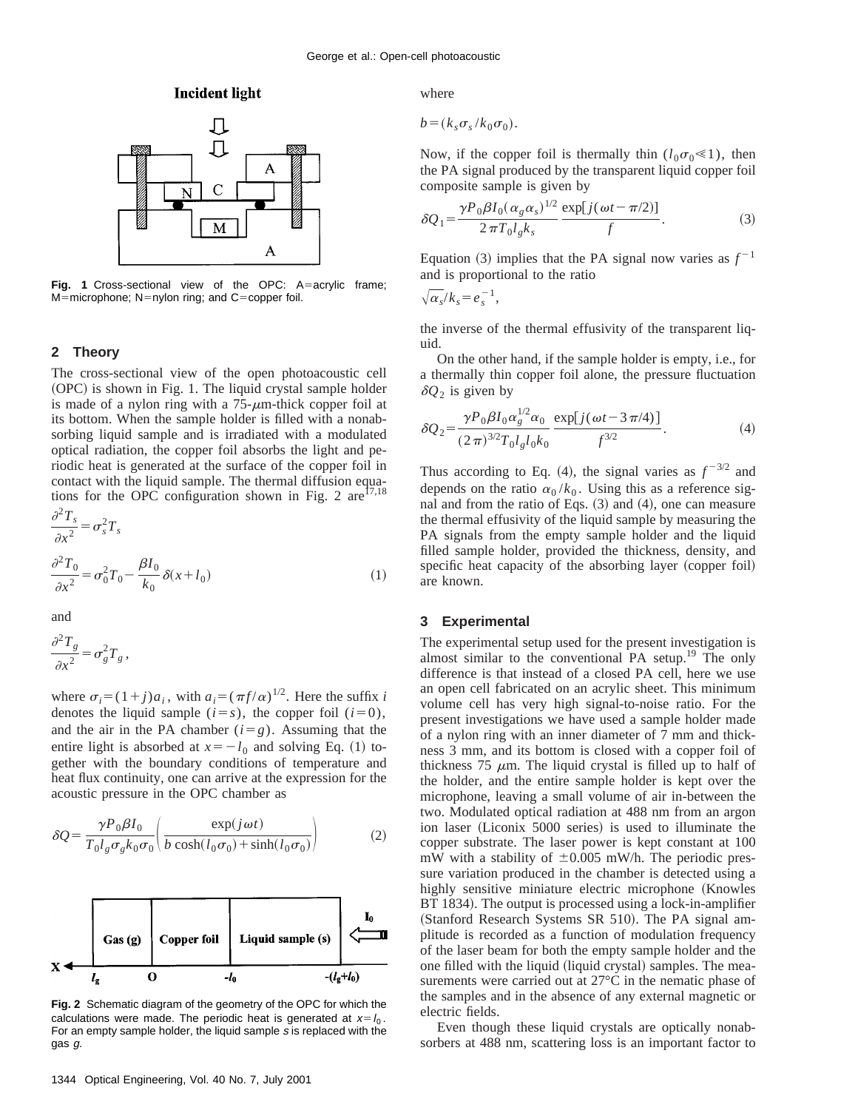## **Incident light**



Fig. 1 Cross-sectional view of the OPC: A=acrylic frame;  $M=$ microphone; N=nylon ring; and C=copper foil.

## **2 Theory**

The cross-sectional view of the open photoacoustic cell  $(OPC)$  is shown in Fig. 1. The liquid crystal sample holder is made of a nylon ring with a  $75-\mu$ m-thick copper foil at its bottom. When the sample holder is filled with a nonabsorbing liquid sample and is irradiated with a modulated optical radiation, the copper foil absorbs the light and periodic heat is generated at the surface of the copper foil in contact with the liquid sample. The thermal diffusion equations for the OPC configuration shown in Fig. 2 are  $17,18$  $2\pi$ 

$$
\frac{\partial^2 T_s}{\partial x^2} = \sigma_s^2 T_s
$$
  

$$
\frac{\partial^2 T_0}{\partial x^2} = \sigma_0^2 T_0 - \frac{\beta I_0}{k_0} \delta(x + l_0)
$$
 (1)

and

$$
\frac{\partial^2 T_g}{\partial x^2} = \sigma_g^2 T_g,
$$

where  $\sigma_i = (1 + j)a_i$ , with  $a_i = (\pi f/\alpha)^{1/2}$ . Here the suffix *i* denotes the liquid sample  $(i=s)$ , the copper foil  $(i=0)$ , and the air in the PA chamber  $(i = g)$ . Assuming that the entire light is absorbed at  $x=-l_0$  and solving Eq. (1) together with the boundary conditions of temperature and heat flux continuity, one can arrive at the expression for the acoustic pressure in the OPC chamber as

$$
\delta Q = \frac{\gamma P_0 \beta I_0}{T_0 l_g \sigma_g k_0 \sigma_0} \left( \frac{\exp(j \omega t)}{b \cosh(l_0 \sigma_0) + \sinh(l_0 \sigma_0)} \right)
$$
(2)



**Fig. 2** Schematic diagram of the geometry of the OPC for which the calculations were made. The periodic heat is generated at  $x=l_0$ . For an empty sample holder, the liquid sample <sup>s</sup> is replaced with the gas g.

where

$$
b = (k_s \sigma_s / k_0 \sigma_0).
$$

Now, if the copper foil is thermally thin  $(l_0 \sigma_0 \ll 1)$ , then the PA signal produced by the transparent liquid copper foil composite sample is given by

$$
\delta Q_1 = \frac{\gamma P_0 \beta I_0 (\alpha_g \alpha_s)^{1/2}}{2 \pi T_0 l_g k_s} \frac{\exp[j(\omega t - \pi/2)]}{f}.
$$
 (3)

Equation (3) implies that the PA signal now varies as  $f^{-1}$ and is proportional to the ratio

$$
\sqrt{\alpha_s}/k_s = e_s^{-1},
$$

the inverse of the thermal effusivity of the transparent liquid.

On the other hand, if the sample holder is empty, i.e., for a thermally thin copper foil alone, the pressure fluctuation  $\delta Q_2$  is given by

$$
\delta Q_2 = \frac{\gamma P_0 \beta I_0 \alpha_g^{1/2} \alpha_0}{(2\pi)^{3/2} T_0 I_g I_0 k_0} \frac{\exp[j(\omega t - 3\pi/4)]}{f^{3/2}}.
$$
 (4)

Thus according to Eq. (4), the signal varies as  $f^{-3/2}$  and depends on the ratio  $\alpha_0 / k_0$ . Using this as a reference signal and from the ratio of Eqs.  $(3)$  and  $(4)$ , one can measure the thermal effusivity of the liquid sample by measuring the PA signals from the empty sample holder and the liquid filled sample holder, provided the thickness, density, and specific heat capacity of the absorbing layer (copper foil) are known.

## **3 Experimental**

The experimental setup used for the present investigation is almost similar to the conventional PA setup.<sup>19</sup> The only difference is that instead of a closed PA cell, here we use an open cell fabricated on an acrylic sheet. This minimum volume cell has very high signal-to-noise ratio. For the present investigations we have used a sample holder made of a nylon ring with an inner diameter of 7 mm and thickness 3 mm, and its bottom is closed with a copper foil of thickness 75  $\mu$ m. The liquid crystal is filled up to half of the holder, and the entire sample holder is kept over the microphone, leaving a small volume of air in-between the two. Modulated optical radiation at 488 nm from an argon ion laser (Liconix 5000 series) is used to illuminate the copper substrate. The laser power is kept constant at 100 mW with a stability of  $\pm 0.005$  mW/h. The periodic pressure variation produced in the chamber is detected using a highly sensitive miniature electric microphone (Knowles BT 1834). The output is processed using a lock-in-amplifier (Stanford Research Systems SR 510). The PA signal amplitude is recorded as a function of modulation frequency of the laser beam for both the empty sample holder and the one filled with the liquid (liquid crystal) samples. The measurements were carried out at 27°C in the nematic phase of the samples and in the absence of any external magnetic or electric fields.

Even though these liquid crystals are optically nonabsorbers at 488 nm, scattering loss is an important factor to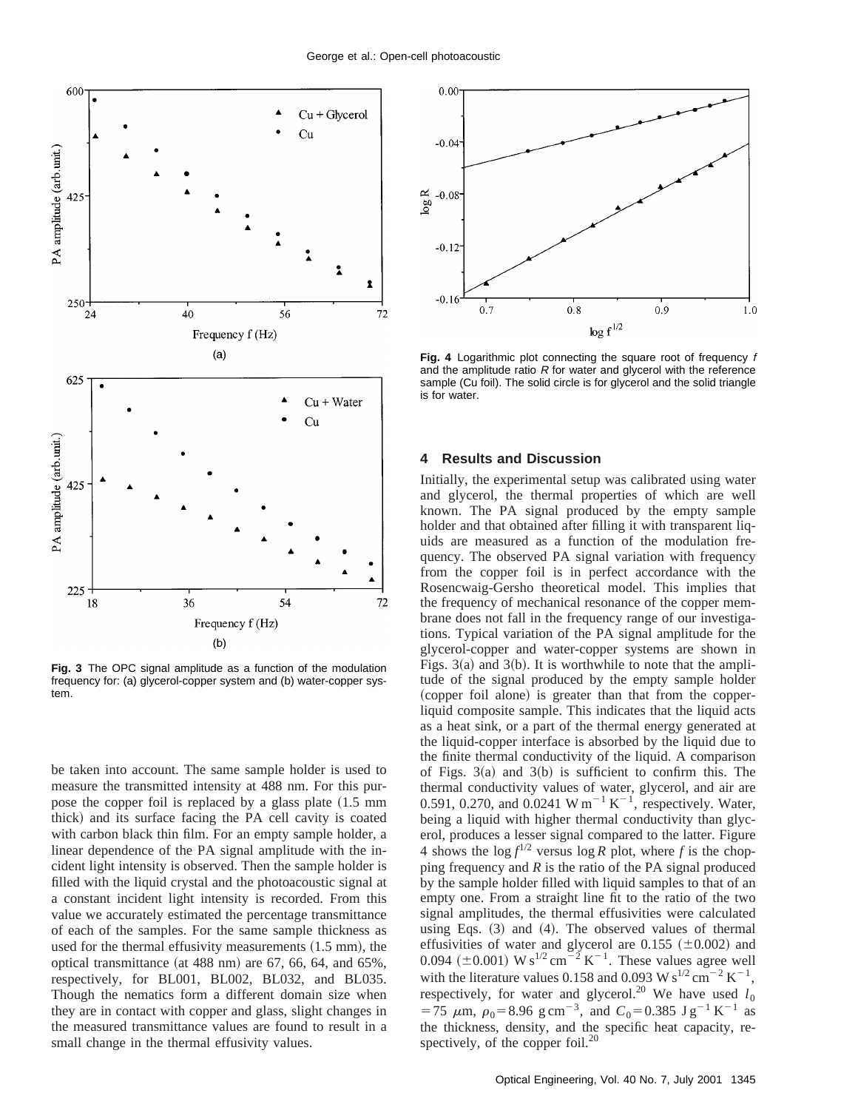

**Fig. 3** The OPC signal amplitude as a function of the modulation frequency for: (a) glycerol-copper system and (b) water-copper system.

be taken into account. The same sample holder is used to measure the transmitted intensity at 488 nm. For this purpose the copper foil is replaced by a glass plate  $(1.5 \text{ mm})$ thick) and its surface facing the PA cell cavity is coated with carbon black thin film. For an empty sample holder, a linear dependence of the PA signal amplitude with the incident light intensity is observed. Then the sample holder is filled with the liquid crystal and the photoacoustic signal at a constant incident light intensity is recorded. From this value we accurately estimated the percentage transmittance of each of the samples. For the same sample thickness as used for the thermal effusivity measurements  $(1.5 \text{ mm})$ , the optical transmittance (at  $488$  nm) are  $67, 66, 64,$  and  $65\%,$ respectively, for BL001, BL002, BL032, and BL035. Though the nematics form a different domain size when they are in contact with copper and glass, slight changes in the measured transmittance values are found to result in a small change in the thermal effusivity values.



**Fig. 4** Logarithmic plot connecting the square root of frequency f and the amplitude ratio  $R$  for water and glycerol with the reference sample (Cu foil). The solid circle is for glycerol and the solid triangle is for water.

#### **4 Results and Discussion**

Initially, the experimental setup was calibrated using water and glycerol, the thermal properties of which are well known. The PA signal produced by the empty sample holder and that obtained after filling it with transparent liquids are measured as a function of the modulation frequency. The observed PA signal variation with frequency from the copper foil is in perfect accordance with the Rosencwaig-Gersho theoretical model. This implies that the frequency of mechanical resonance of the copper membrane does not fall in the frequency range of our investigations. Typical variation of the PA signal amplitude for the glycerol-copper and water-copper systems are shown in Figs.  $3(a)$  and  $3(b)$ . It is worthwhile to note that the amplitude of the signal produced by the empty sample holder (copper foil alone) is greater than that from the copperliquid composite sample. This indicates that the liquid acts as a heat sink, or a part of the thermal energy generated at the liquid-copper interface is absorbed by the liquid due to the finite thermal conductivity of the liquid. A comparison of Figs.  $3(a)$  and  $3(b)$  is sufficient to confirm this. The thermal conductivity values of water, glycerol, and air are 0.591, 0.270, and 0.0241 W m<sup>-1</sup> K<sup>-1</sup>, respectively. Water, being a liquid with higher thermal conductivity than glycerol, produces a lesser signal compared to the latter. Figure 4 shows the  $\log f^{1/2}$  versus  $\log R$  plot, where *f* is the chopping frequency and *R* is the ratio of the PA signal produced by the sample holder filled with liquid samples to that of an empty one. From a straight line fit to the ratio of the two signal amplitudes, the thermal effusivities were calculated using Eqs.  $(3)$  and  $(4)$ . The observed values of thermal effusivities of water and glycerol are 0.155  $(\pm 0.002)$  and 0.094 ( $\pm$ 0.001) W s<sup>1/2</sup> cm<sup>-2</sup> K<sup>-1</sup>. These values agree well with the literature values 0.158 and 0.093 W s<sup>1/2</sup> cm<sup>-2</sup> K<sup>-1</sup>. respectively, for water and glycerol.<sup>20</sup> We have used  $l_0$  $=75 \mu m$ ,  $\rho_0 = 8.96 \text{ g cm}^{-3}$ , and  $C_0 = 0.385 \text{ J g}^{-1} \text{ K}^{-1}$  as the thickness, density, and the specific heat capacity, respectively, of the copper foil.<sup>20</sup>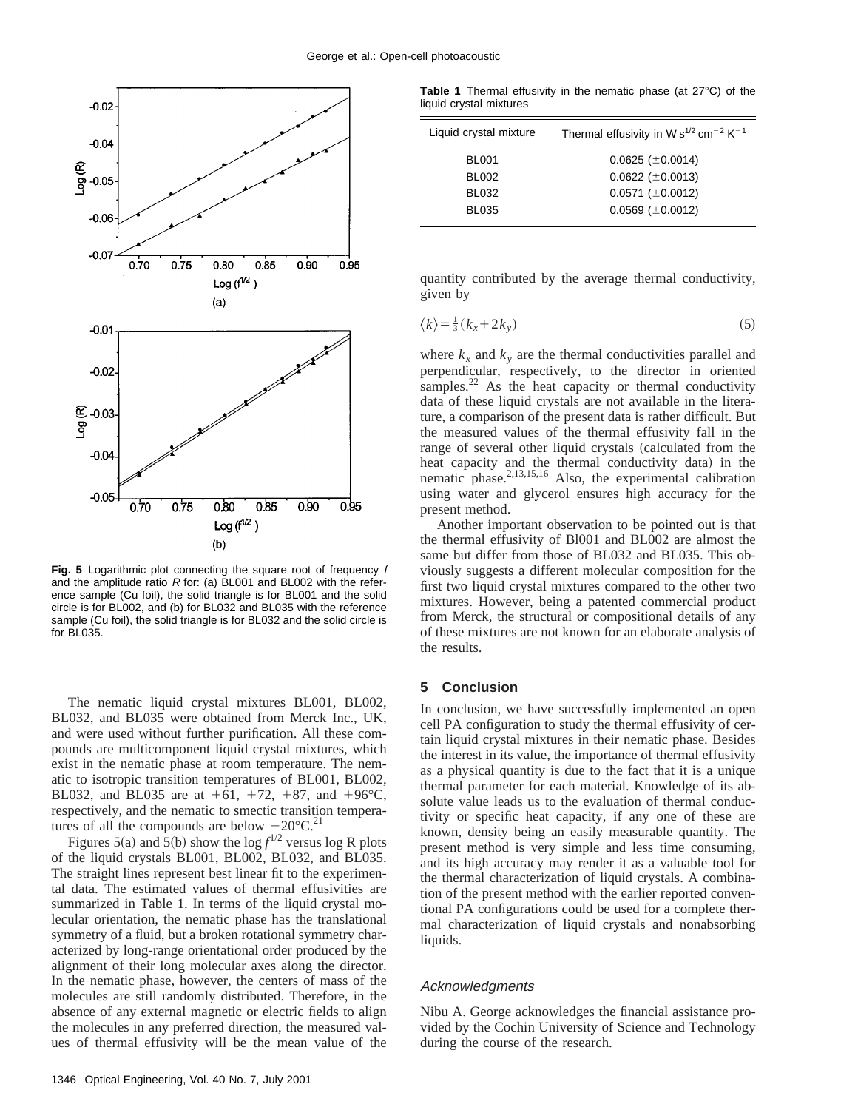

Fig. 5 Logarithmic plot connecting the square root of frequency f and the amplitude ratio  $R$  for: (a) BL001 and BL002 with the reference sample (Cu foil), the solid triangle is for BL001 and the solid circle is for BL002, and (b) for BL032 and BL035 with the reference sample (Cu foil), the solid triangle is for BL032 and the solid circle is for BL035.

The nematic liquid crystal mixtures BL001, BL002, BL032, and BL035 were obtained from Merck Inc., UK, and were used without further purification. All these compounds are multicomponent liquid crystal mixtures, which exist in the nematic phase at room temperature. The nematic to isotropic transition temperatures of BL001, BL002, BL032, and BL035 are at  $+61$ ,  $+72$ ,  $+87$ , and  $+96^{\circ}$ C, respectively, and the nematic to smectic transition temperatures of all the compounds are below  $-20^{\circ}$ C.<sup>21</sup>

Figures 5(a) and 5(b) show the  $\log f^{1/2}$  versus log R plots of the liquid crystals BL001, BL002, BL032, and BL035. The straight lines represent best linear fit to the experimental data. The estimated values of thermal effusivities are summarized in Table 1. In terms of the liquid crystal molecular orientation, the nematic phase has the translational symmetry of a fluid, but a broken rotational symmetry characterized by long-range orientational order produced by the alignment of their long molecular axes along the director. In the nematic phase, however, the centers of mass of the molecules are still randomly distributed. Therefore, in the absence of any external magnetic or electric fields to align the molecules in any preferred direction, the measured values of thermal effusivity will be the mean value of the

**Table 1** Thermal effusivity in the nematic phase (at 27°C) of the liquid crystal mixtures

| Liquid crystal mixture | Thermal effusivity in W $s^{1/2}$ cm <sup>-2</sup> K <sup>-1</sup> |
|------------------------|--------------------------------------------------------------------|
| <b>BL001</b>           | $0.0625 \ (\pm 0.0014)$                                            |
| <b>BL002</b>           | $0.0622$ ( $\pm$ 0.0013)                                           |
| <b>BL032</b>           | $0.0571 \ (\pm 0.0012)$                                            |
| <b>BL035</b>           | $0.0569$ ( $\pm$ 0.0012)                                           |

quantity contributed by the average thermal conductivity, given by

$$
\langle k \rangle = \frac{1}{3} (k_x + 2k_y) \tag{5}
$$

where  $k_x$  and  $k_y$  are the thermal conductivities parallel and perpendicular, respectively, to the director in oriented samples. $^{22}$  As the heat capacity or thermal conductivity data of these liquid crystals are not available in the literature, a comparison of the present data is rather difficult. But the measured values of the thermal effusivity fall in the range of several other liquid crystals (calculated from the heat capacity and the thermal conductivity data) in the nematic phase.<sup>2,13,15,16</sup> Also, the experimental calibration using water and glycerol ensures high accuracy for the present method.

Another important observation to be pointed out is that the thermal effusivity of Bl001 and BL002 are almost the same but differ from those of BL032 and BL035. This obviously suggests a different molecular composition for the first two liquid crystal mixtures compared to the other two mixtures. However, being a patented commercial product from Merck, the structural or compositional details of any of these mixtures are not known for an elaborate analysis of the results.

#### **5 Conclusion**

In conclusion, we have successfully implemented an open cell PA configuration to study the thermal effusivity of certain liquid crystal mixtures in their nematic phase. Besides the interest in its value, the importance of thermal effusivity as a physical quantity is due to the fact that it is a unique thermal parameter for each material. Knowledge of its absolute value leads us to the evaluation of thermal conductivity or specific heat capacity, if any one of these are known, density being an easily measurable quantity. The present method is very simple and less time consuming, and its high accuracy may render it as a valuable tool for the thermal characterization of liquid crystals. A combination of the present method with the earlier reported conventional PA configurations could be used for a complete thermal characterization of liquid crystals and nonabsorbing liquids.

### Acknowledgments

Nibu A. George acknowledges the financial assistance provided by the Cochin University of Science and Technology during the course of the research.